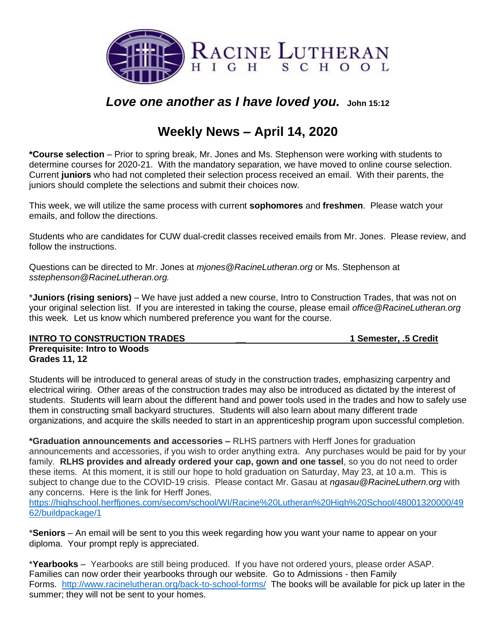

# *Love one another as I have loved you.* **John 15:12**

# **Weekly News – April 14, 2020**

**\*Course selection** – Prior to spring break, Mr. Jones and Ms. Stephenson were working with students to determine courses for 2020-21. With the mandatory separation, we have moved to online course selection. Current **juniors** who had not completed their selection process received an email. With their parents, the juniors should complete the selections and submit their choices now.

This week, we will utilize the same process with current **sophomores** and **freshmen**. Please watch your emails, and follow the directions.

Students who are candidates for CUW dual-credit classes received emails from Mr. Jones. Please review, and follow the instructions.

Questions can be directed to Mr. Jones at *[mjones@RacineLutheran.org](mailto:mjones@RacineLutheran.org)* or Ms. Stephenson at *[sstephenson@RacineLutheran.org.](mailto:sstephenson@RacineLutheran.org)* 

\***Juniors (rising seniors)** – We have just added a new course, Intro to Construction Trades, that was not on your original selection list. If you are interested in taking the course, please email *[office@RacineLutheran.org](mailto:office@RacineLutheran.org)* this week*.* Let us know which numbered preference you want for the course.

#### **INTRO TO CONSTRUCTION TRADES \_\_ 1 Semester, .5 Credit Prerequisite: Intro to Woods Grades 11, 12**

Students will be introduced to general areas of study in the construction trades, emphasizing carpentry and electrical wiring. Other areas of the construction trades may also be introduced as dictated by the interest of students. Students will learn about the different hand and power tools used in the trades and how to safely use them in constructing small backyard structures. Students will also learn about many different trade organizations, and acquire the skills needed to start in an apprenticeship program upon successful completion.

**\*Graduation announcements and accessories –** RLHS partners with Herff Jones for graduation announcements and accessories, if you wish to order anything extra. Any purchases would be paid for by your family. **RLHS provides and already ordered your cap, gown and one tassel**, so you do not need to order these items. At this moment, it is still our hope to hold graduation on Saturday, May 23, at 10 a.m. This is subject to change due to the COVID-19 crisis. Please contact Mr. Gasau at *[ngasau@RacineLuthern.org](mailto:ngasau@RacineLuthern.org)* with any concerns. Here is the link for Herff Jones.

[https://highschool.herffjones.com/secom/school/WI/Racine%20Lutheran%20High%20School/48001320000/49](https://highschool.herffjones.com/secom/school/WI/Racine%20Lutheran%20High%20School/48001320000/4962/buildpackage/1) [62/buildpackage/1](https://highschool.herffjones.com/secom/school/WI/Racine%20Lutheran%20High%20School/48001320000/4962/buildpackage/1)

\***Seniors** – An email will be sent to you this week regarding how you want your name to appear on your diploma. Your prompt reply is appreciated.

\***Yearbooks** – Yearbooks are still being produced. If you have not ordered yours, please order ASAP. Families can now order their yearbooks through our website. Go to Admissions - then Family Forms. <http://www.racinelutheran.org/back-to-school-forms/> The books will be available for pick up later in the summer; they will not be sent to your homes.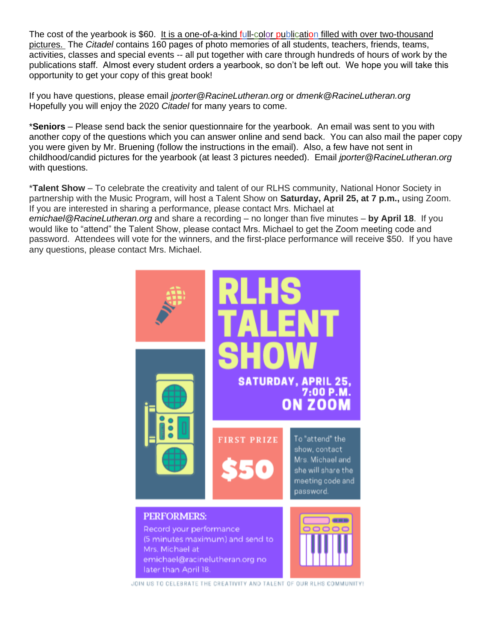The cost of the yearbook is \$60. It is a one-of-a-kind full-color publication filled with over two-thousand pictures. The *Citadel* contains 160 pages of photo memories of all students, teachers, friends, teams, activities, classes and special events -- all put together with care through hundreds of hours of work by the publications staff. Almost every student orders a yearbook, so don't be left out. We hope you will take this opportunity to get your copy of this great book!

If you have questions, please email *jporter@RacineLutheran.org* or *dmenk@RacineLutheran.org* Hopefully you will enjoy the 2020 *Citadel* for many years to come.

\***Seniors** – Please send back the senior questionnaire for the yearbook. An email was sent to you with another copy of the questions which you can answer online and send back. You can also mail the paper copy you were given by Mr. Bruening (follow the instructions in the email). Also, a few have not sent in childhood/candid pictures for the yearbook (at least 3 pictures needed). Email *[jporter@RacineLutheran.org](mailto:jporter@RacineLutheran.org)* with questions.

\***Talent Show** – To celebrate the creativity and talent of our RLHS community, National Honor Society in partnership with the Music Program, will host a Talent Show on **Saturday, April 25, at 7 p.m.,** using Zoom. If you are interested in sharing a performance, please contact Mrs. Michael at

*[emichael@RacineLutheran.org](mailto:emichael@RacineLutheran.org)* and share a recording – no longer than five minutes – **by April 18**. If you would like to "attend" the Talent Show, please contact Mrs. Michael to get the Zoom meeting code and password. Attendees will vote for the winners, and the first-place performance will receive \$50. If you have any questions, please contact Mrs. Michael.



JOIN US TO CELEBRATE THE CREATIVITY AND TALENT OF OUR RLHS COMMUNITY!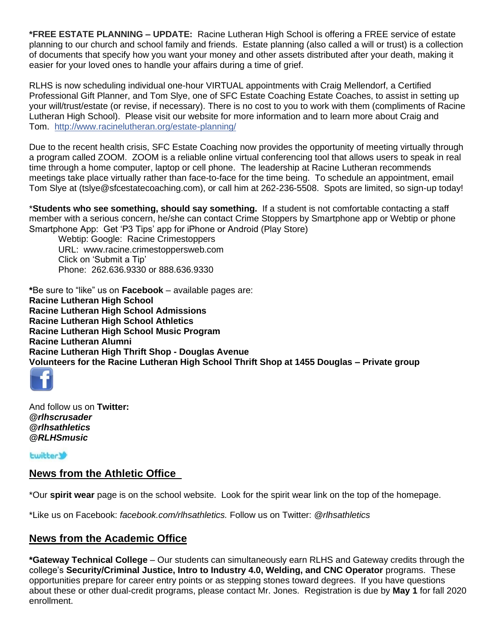**\*FREE ESTATE PLANNING – UPDATE:** Racine Lutheran High School is offering a FREE service of estate planning to our church and school family and friends. Estate planning (also called a will or trust) is a collection of documents that specify how you want your money and other assets distributed after your death, making it easier for your loved ones to handle your affairs during a time of grief.

RLHS is now scheduling individual one-hour VIRTUAL appointments with Craig Mellendorf, a Certified Professional Gift Planner, and Tom Slye, one of SFC Estate Coaching Estate Coaches, to assist in setting up your will/trust/estate (or revise, if necessary). There is no cost to you to work with them (compliments of Racine Lutheran High School). Please visit our website for more information and to learn more about Craig and Tom. [http://www.racinelutheran.org/estate-planning/](https://l.facebook.com/l.php?u=http%3A%2F%2Fwww.racinelutheran.org%2Festate-planning%2F%3Ffbclid%3DIwAR18Aq5bJ0YN5SaucktAPJe5_azsXGX2HVa0IbR8pi23d6VOAC-B9zcKkMQ&h=AT0slPPgHUZnA9j-0UglzmnDzlFI_f8xF7IzdQuqPDoAeB0cu8n0JLYCJZaMUKpUT2JABd6gq6eN8x2Ub6mU78WfQEcb8gGP4Fvo3hl2Qxr7tv4adjlpMjVKoCZDmMA5BtpHbbaTOrrObxUikSqTl60FTu5U_b0dVaskQwpeo0tBLcIryupAfVCVWGyCgoIdbv5Pq_mf7SaDLihWoSN-prz57r49IDXwtWREJYBVzNPtXj74g6wuWzfd5PmaJy0i8I4U1TgDtt_7TUHr0g3vdcOKsvx9rsv4TKj1-auShpxyapqzRCls-Dwfa8k2Lu7r1XnTlVMISrdXabCJeXgJsEY-2WCpePlUBbKNjys6Qxeaoi8s0_0i49goKpIT1NcY_WpcduGkNXvpmTD3kT-p5ZyJVQjgUVcPSPjxB55XOvGpIVXS-xPEHNV769MO0Tg6SThVIYs6W_IZ1pm1X-kfs9XolMZxSsdWzvC6OeEqogNFCmb5ZgkwG_FC_JIH1RJOhjWPdwTPIDAS7CwHiORzwB_cvg7PXwQu54avDNvql1SzVJ8VxxLw_m6IDiiMn-82fwaQNOV2R12W1ZH1q9FUKh1u-F6v4n6XTn8bZWUESJr_NzBGuorA7cUvA-XpkXvK5A)

Due to the recent health crisis, SFC Estate Coaching now provides the opportunity of meeting virtually through a program called ZOOM. ZOOM is a reliable online virtual conferencing tool that allows users to speak in real time through a home computer, laptop or cell phone. The leadership at Racine Lutheran recommends meetings take place virtually rather than face-to-face for the time being. To schedule an appointment, email Tom Slye at (tslye@sfcestatecoaching.com), or call him at 262-236-5508. Spots are limited, so sign-up today!

\***Students who see something, should say something.** If a student is not comfortable contacting a staff member with a serious concern, he/she can contact Crime Stoppers by Smartphone app or Webtip or phone Smartphone App: Get 'P3 Tips' app for iPhone or Android (Play Store)

Webtip: Google: Racine Crimestoppers URL: www.racine.crimestoppersweb.com Click on 'Submit a Tip' Phone: 262.636.9330 or 888.636.9330

**\***Be sure to "like" us on **Facebook** – available pages are: **Racine Lutheran High School Racine Lutheran High School Admissions Racine Lutheran High School Athletics Racine Lutheran High School Music Program Racine Lutheran Alumni Racine Lutheran High Thrift Shop - Douglas Avenue Volunteers for the Racine Lutheran High School Thrift Shop at 1455 Douglas – Private group**



And follow us on **Twitter:**  *@rlhscrusader @rlhsathletics @RLHSmusic* 

**Lwitter** 

## **News from the Athletic Office**

\*Our **spirit wear** page is on the school website. Look for the spirit wear link on the top of the homepage.

\*Like us on Facebook: *[facebook.com/rlhsathletics.](http://facebook.com/rlhsathletics)* Follow us on Twitter: *@rlhsathletics*

### **News from the Academic Office**

**\*Gateway Technical College** – Our students can simultaneously earn RLHS and Gateway credits through the college's **Security/Criminal Justice, Intro to Industry 4.0, Welding, and CNC Operator** programs. These opportunities prepare for career entry points or as stepping stones toward degrees. If you have questions about these or other dual-credit programs, please contact Mr. Jones. Registration is due by **May 1** for fall 2020 enrollment.